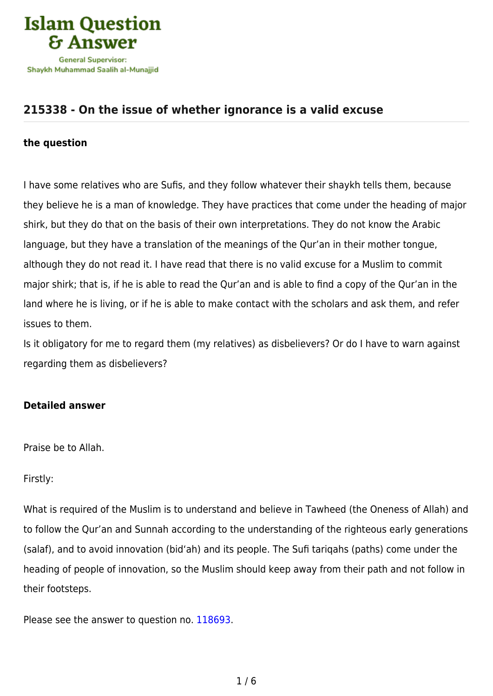

# **[215338 - On the issue of whether ignorance is a valid excuse](https://islamqa.com/en/answers/215338/on-the-issue-of-whether-ignorance-is-a-valid-excuse)**

#### **the question**

I have some relatives who are Sufis, and they follow whatever their shaykh tells them, because they believe he is a man of knowledge. They have practices that come under the heading of major shirk, but they do that on the basis of their own interpretations. They do not know the Arabic language, but they have a translation of the meanings of the Qur'an in their mother tongue, although they do not read it. I have read that there is no valid excuse for a Muslim to commit major shirk; that is, if he is able to read the Qur'an and is able to find a copy of the Qur'an in the land where he is living, or if he is able to make contact with the scholars and ask them, and refer issues to them.

Is it obligatory for me to regard them (my relatives) as disbelievers? Or do I have to warn against regarding them as disbelievers?

### **Detailed answer**

Praise be to Allah.

Firstly:

What is required of the Muslim is to understand and believe in Tawheed (the Oneness of Allah) and to follow the Qur'an and Sunnah according to the understanding of the righteous early generations (salaf), and to avoid innovation (bid'ah) and its people. The Sufi tariqahs (paths) come under the heading of people of innovation, so the Muslim should keep away from their path and not follow in their footsteps.

Please see the answer to question no. [118693.](https://islamqa.com/ar/answers/)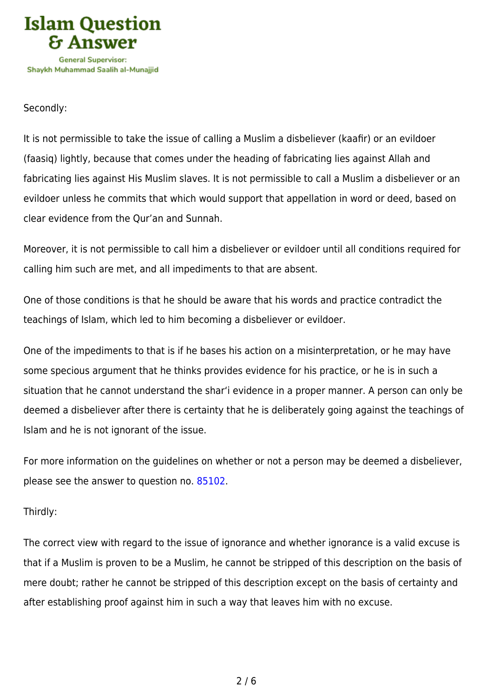

## Secondly:

It is not permissible to take the issue of calling a Muslim a disbeliever (kaafir) or an evildoer (faasiq) lightly, because that comes under the heading of fabricating lies against Allah and fabricating lies against His Muslim slaves. It is not permissible to call a Muslim a disbeliever or an evildoer unless he commits that which would support that appellation in word or deed, based on clear evidence from the Qur'an and Sunnah.

Moreover, it is not permissible to call him a disbeliever or evildoer until all conditions required for calling him such are met, and all impediments to that are absent.

One of those conditions is that he should be aware that his words and practice contradict the teachings of Islam, which led to him becoming a disbeliever or evildoer.

One of the impediments to that is if he bases his action on a misinterpretation, or he may have some specious argument that he thinks provides evidence for his practice, or he is in such a situation that he cannot understand the shar'i evidence in a proper manner. A person can only be deemed a disbeliever after there is certainty that he is deliberately going against the teachings of Islam and he is not ignorant of the issue.

For more information on the guidelines on whether or not a person may be deemed a disbeliever, please see the answer to question no. [85102](https://islamqa.com/en/answers/85102).

### Thirdly:

The correct view with regard to the issue of ignorance and whether ignorance is a valid excuse is that if a Muslim is proven to be a Muslim, he cannot be stripped of this description on the basis of mere doubt; rather he cannot be stripped of this description except on the basis of certainty and after establishing proof against him in such a way that leaves him with no excuse.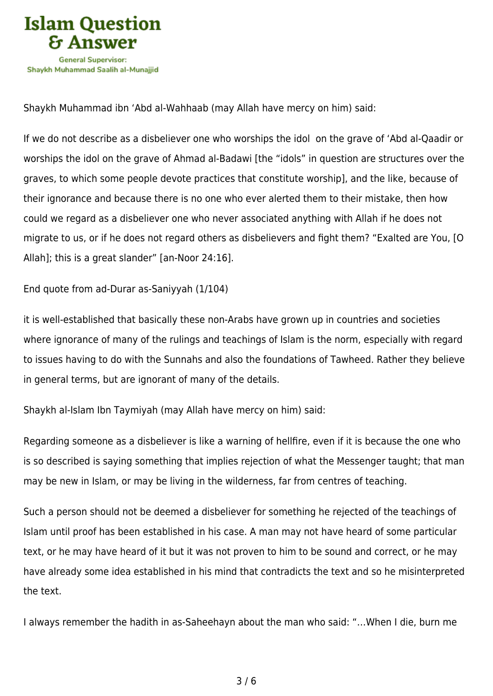

Shaykh Muhammad ibn 'Abd al-Wahhaab (may Allah have mercy on him) said:

If we do not describe as a disbeliever one who worships the idol on the grave of 'Abd al-Qaadir or worships the idol on the grave of Ahmad al-Badawi [the "idols" in question are structures over the graves, to which some people devote practices that constitute worship], and the like, because of their ignorance and because there is no one who ever alerted them to their mistake, then how could we regard as a disbeliever one who never associated anything with Allah if he does not migrate to us, or if he does not regard others as disbelievers and fight them? "Exalted are You, [O Allah]; this is a great slander" [an-Noor 24:16].

End quote from ad-Durar as-Saniyyah (1/104)

it is well-established that basically these non-Arabs have grown up in countries and societies where ignorance of many of the rulings and teachings of Islam is the norm, especially with regard to issues having to do with the Sunnahs and also the foundations of Tawheed. Rather they believe in general terms, but are ignorant of many of the details.

Shaykh al-Islam Ibn Taymiyah (may Allah have mercy on him) said:

Regarding someone as a disbeliever is like a warning of hellfire, even if it is because the one who is so described is saying something that implies rejection of what the Messenger taught; that man may be new in Islam, or may be living in the wilderness, far from centres of teaching.

Such a person should not be deemed a disbeliever for something he rejected of the teachings of Islam until proof has been established in his case. A man may not have heard of some particular text, or he may have heard of it but it was not proven to him to be sound and correct, or he may have already some idea established in his mind that contradicts the text and so he misinterpreted the text.

I always remember the hadith in as-Saheehayn about the man who said: "…When I die, burn me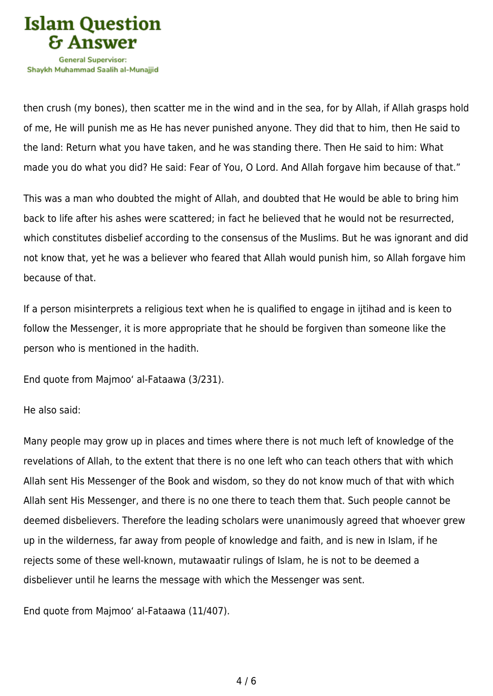

then crush (my bones), then scatter me in the wind and in the sea, for by Allah, if Allah grasps hold of me, He will punish me as He has never punished anyone. They did that to him, then He said to the land: Return what you have taken, and he was standing there. Then He said to him: What made you do what you did? He said: Fear of You, O Lord. And Allah forgave him because of that."

This was a man who doubted the might of Allah, and doubted that He would be able to bring him back to life after his ashes were scattered; in fact he believed that he would not be resurrected, which constitutes disbelief according to the consensus of the Muslims. But he was ignorant and did not know that, yet he was a believer who feared that Allah would punish him, so Allah forgave him because of that.

If a person misinterprets a religious text when he is qualified to engage in ijtihad and is keen to follow the Messenger, it is more appropriate that he should be forgiven than someone like the person who is mentioned in the hadith.

End quote from Majmoo' al-Fataawa (3/231).

He also said:

Many people may grow up in places and times where there is not much left of knowledge of the revelations of Allah, to the extent that there is no one left who can teach others that with which Allah sent His Messenger of the Book and wisdom, so they do not know much of that with which Allah sent His Messenger, and there is no one there to teach them that. Such people cannot be deemed disbelievers. Therefore the leading scholars were unanimously agreed that whoever grew up in the wilderness, far away from people of knowledge and faith, and is new in Islam, if he rejects some of these well-known, mutawaatir rulings of Islam, he is not to be deemed a disbeliever until he learns the message with which the Messenger was sent.

End quote from Majmoo' al-Fataawa (11/407).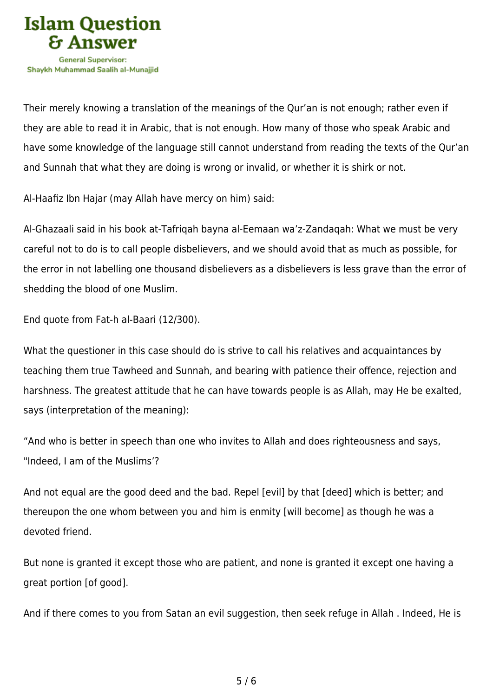

Their merely knowing a translation of the meanings of the Qur'an is not enough; rather even if they are able to read it in Arabic, that is not enough. How many of those who speak Arabic and have some knowledge of the language still cannot understand from reading the texts of the Qur'an and Sunnah that what they are doing is wrong or invalid, or whether it is shirk or not.

Al-Haafiz Ibn Hajar (may Allah have mercy on him) said:

Al-Ghazaali said in his book at-Tafriqah bayna al-Eemaan wa'z-Zandaqah: What we must be very careful not to do is to call people disbelievers, and we should avoid that as much as possible, for the error in not labelling one thousand disbelievers as a disbelievers is less grave than the error of shedding the blood of one Muslim.

End quote from Fat-h al-Baari (12/300).

What the questioner in this case should do is strive to call his relatives and acquaintances by teaching them true Tawheed and Sunnah, and bearing with patience their offence, rejection and harshness. The greatest attitude that he can have towards people is as Allah, may He be exalted, says (interpretation of the meaning):

"And who is better in speech than one who invites to Allah and does righteousness and says, "Indeed, I am of the Muslims'?

And not equal are the good deed and the bad. Repel [evil] by that [deed] which is better; and thereupon the one whom between you and him is enmity [will become] as though he was a devoted friend.

But none is granted it except those who are patient, and none is granted it except one having a great portion [of good].

And if there comes to you from Satan an evil suggestion, then seek refuge in Allah . Indeed, He is